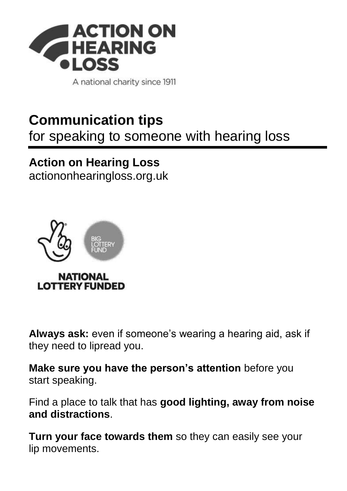

A national charity since 1911

## **Communication tips**

for speaking to someone with hearing loss

## **Action on Hearing Loss**

[actiononhearingloss.org.uk](https://www.actiononhearingloss.org.uk/)



**Always ask:** even if someone's wearing a hearing aid, ask if they need to lipread you.

**Make sure you have the person's attention** before you start speaking.

Find a place to talk that has **good lighting, away from noise and distractions**.

**Turn your face towards them** so they can easily see your lip movements.